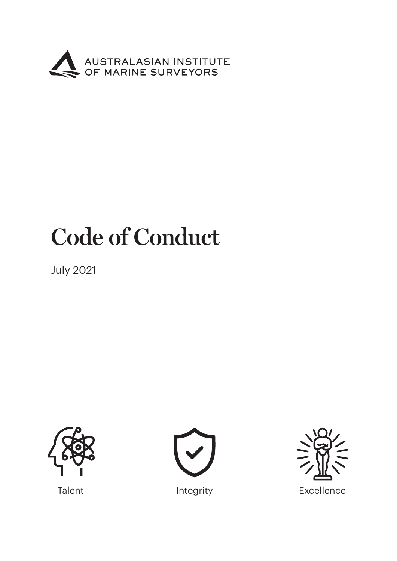

# **Code of Conduct**

July 2021





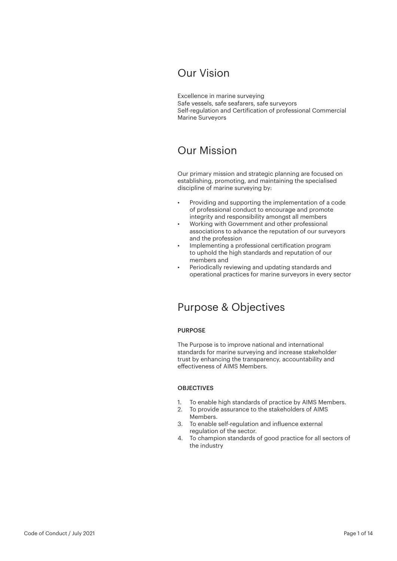### Our Vision

Excellence in marine surveying Safe vessels, safe seafarers, safe surveyors Self-regulation and Certification of professional Commercial Marine Surveyors

### Our Mission

Our primary mission and strategic planning are focused on establishing, promoting, and maintaining the specialised discipline of marine surveying by:

- Providing and supporting the implementation of a code of professional conduct to encourage and promote integrity and responsibility amongst all members
- Working with Government and other professional associations to advance the reputation of our surveyors and the profession
- Implementing a professional certification program to uphold the high standards and reputation of our members and
- Periodically reviewing and updating standards and operational practices for marine surveyors in every sector

### Purpose & Objectives

### PURPOSE

The Purpose is to improve national and international standards for marine surveying and increase stakeholder trust by enhancing the transparency, accountability and effectiveness of AIMS Members.

#### OBJECTIVES

- 1. To enable high standards of practice by AIMS Members.
- 2. To provide assurance to the stakeholders of AIMS Members.
- 3. To enable self-regulation and influence external regulation of the sector.
- 4. To champion standards of good practice for all sectors of the industry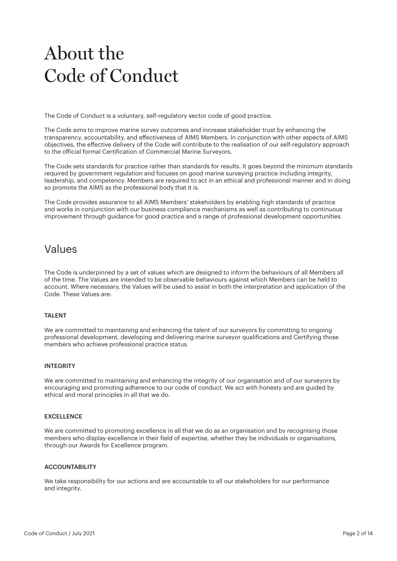## About the Code of Conduct

The Code of Conduct is a voluntary, self-regulatory sector code of good practice.

The Code aims to improve marine survey outcomes and increase stakeholder trust by enhancing the transparency, accountability, and effectiveness of AIMS Members. In conjunction with other aspects of AIMS objectives, the effective delivery of the Code will contribute to the realisation of our self-regulatory approach to the official formal Certification of Commercial Marine Surveyors.

The Code sets standards for practice rather than standards for results. It goes beyond the minimum standards required by government regulation and focuses on good marine surveying practice including integrity, leadership, and competency. Members are required to act in an ethical and professional manner and in doing so promote the AIMS as the professional body that it is.

The Code provides assurance to all AIMS Members' stakeholders by enabling high standards of practice and works in conjunction with our business compliance mechanisms as well as contributing to continuous improvement through guidance for good practice and a range of professional development opportunities.

### Values

The Code is underpinned by a set of values which are designed to inform the behaviours of all Members all of the time. The Values are intended to be observable behaviours against which Members can be held to account. Where necessary, the Values will be used to assist in both the interpretation and application of the Code. These Values are:

### TALENT

We are committed to maintaining and enhancing the talent of our surveyors by committing to ongoing professional development, developing and delivering marine surveyor qualifications and Certifying those members who achieve professional practice status.

#### **INTEGRITY**

We are committed to maintaining and enhancing the integrity of our organisation and of our surveyors by encouraging and promoting adherence to our code of conduct. We act with honesty and are guided by ethical and moral principles in all that we do.

#### **EXCELLENCE**

We are committed to promoting excellence in all that we do as an organisation and by recognising those members who display excellence in their field of expertise, whether they be individuals or organisations, through our Awards for Excellence program.

#### **ACCOUNTABILITY**

We take responsibility for our actions and are accountable to all our stakeholders for our performance and integrity.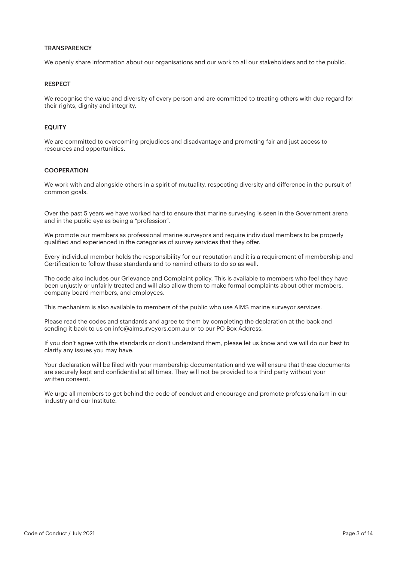#### **TRANSPARENCY**

We openly share information about our organisations and our work to all our stakeholders and to the public.

#### **RESPECT**

We recognise the value and diversity of every person and are committed to treating others with due regard for their rights, dignity and integrity.

#### EQUITY

We are committed to overcoming prejudices and disadvantage and promoting fair and just access to resources and opportunities.

#### **COOPERATION**

We work with and alongside others in a spirit of mutuality, respecting diversity and difference in the pursuit of common goals.

Over the past 5 years we have worked hard to ensure that marine surveying is seen in the Government arena and in the public eye as being a "profession".

We promote our members as professional marine surveyors and require individual members to be properly qualified and experienced in the categories of survey services that they offer.

Every individual member holds the responsibility for our reputation and it is a requirement of membership and Certification to follow these standards and to remind others to do so as well.

The code also includes our Grievance and Complaint policy. This is available to members who feel they have been unjustly or unfairly treated and will also allow them to make formal complaints about other members, company board members, and employees.

This mechanism is also available to members of the public who use AIMS marine surveyor services.

Please read the codes and standards and agree to them by completing the declaration at the back and sending it back to us on info@aimsurveyors.com.au or to our PO Box Address.

If you don't agree with the standards or don't understand them, please let us know and we will do our best to clarify any issues you may have.

Your declaration will be filed with your membership documentation and we will ensure that these documents are securely kept and confidential at all times. They will not be provided to a third party without your written consent.

We urge all members to get behind the code of conduct and encourage and promote professionalism in our industry and our Institute.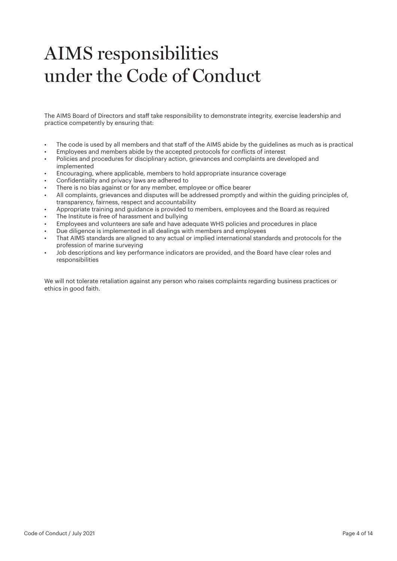## AIMS responsibilities under the Code of Conduct

The AIMS Board of Directors and staff take responsibility to demonstrate integrity, exercise leadership and practice competently by ensuring that:

- The code is used by all members and that staff of the AIMS abide by the guidelines as much as is practical
- Employees and members abide by the accepted protocols for conflicts of interest
- Policies and procedures for disciplinary action, grievances and complaints are developed and implemented
- Encouraging, where applicable, members to hold appropriate insurance coverage
- Confidentiality and privacy laws are adhered to
- There is no bias against or for any member, employee or office bearer
- All complaints, grievances and disputes will be addressed promptly and within the guiding principles of, transparency, fairness, respect and accountability
- Appropriate training and guidance is provided to members, employees and the Board as required
- The Institute is free of harassment and bullying
- Employees and volunteers are safe and have adequate WHS policies and procedures in place
- Due diligence is implemented in all dealings with members and employees
- That AIMS standards are aligned to any actual or implied international standards and protocols for the profession of marine surveying
- Job descriptions and key performance indicators are provided, and the Board have clear roles and responsibilities

We will not tolerate retaliation against any person who raises complaints regarding business practices or ethics in good faith.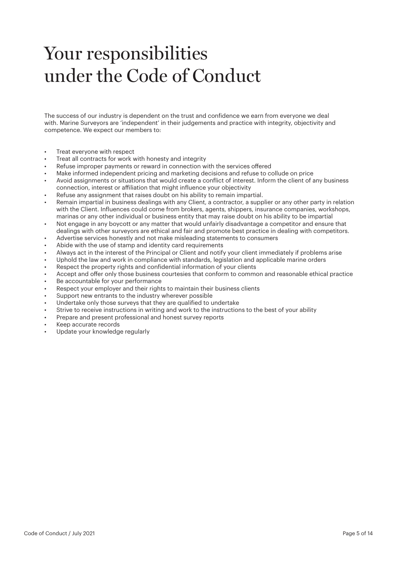## Your responsibilities under the Code of Conduct

The success of our industry is dependent on the trust and confidence we earn from everyone we deal with. Marine Surveyors are 'independent' in their judgements and practice with integrity, objectivity and competence. We expect our members to:

- Treat everyone with respect
- Treat all contracts for work with honesty and integrity
- Refuse improper payments or reward in connection with the services offered
- Make informed independent pricing and marketing decisions and refuse to collude on price
- Avoid assignments or situations that would create a conflict of interest. Inform the client of any business connection, interest or affiliation that might influence your objectivity
- Refuse any assignment that raises doubt on his ability to remain impartial.
- Remain impartial in business dealings with any Client, a contractor, a supplier or any other party in relation with the Client. Influences could come from brokers, agents, shippers, insurance companies, workshops, marinas or any other individual or business entity that may raise doubt on his ability to be impartial
- Not engage in any boycott or any matter that would unfairly disadvantage a competitor and ensure that dealings with other surveyors are ethical and fair and promote best practice in dealing with competitors.
- Advertise services honestly and not make misleading statements to consumers
- Abide with the use of stamp and identity card requirements
- Always act in the interest of the Principal or Client and notify your client immediately if problems arise
- Uphold the law and work in compliance with standards, legislation and applicable marine orders
- Respect the property rights and confidential information of your clients
- Accept and offer only those business courtesies that conform to common and reasonable ethical practice
- Be accountable for your performance
- Respect your employer and their rights to maintain their business clients
- Support new entrants to the industry wherever possible
- Undertake only those surveys that they are qualified to undertake
- Strive to receive instructions in writing and work to the instructions to the best of your ability
- Prepare and present professional and honest survey reports
- Keep accurate records
- Update your knowledge regularly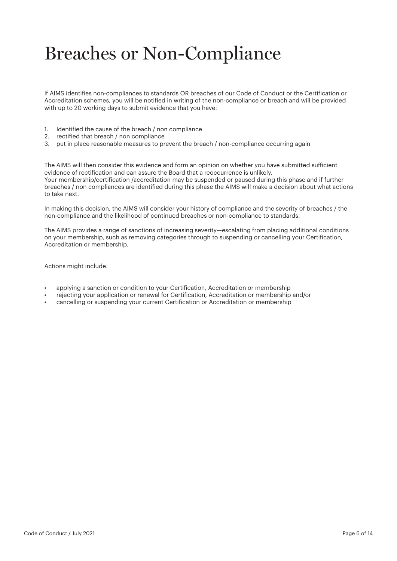## Breaches or Non-Compliance

If AIMS identifies non-compliances to standards OR breaches of our Code of Conduct or the Certification or Accreditation schemes, you will be notified in writing of the non-compliance or breach and will be provided with up to 20 working days to submit evidence that you have:

- 1. Identified the cause of the breach / non compliance
- 2. rectified that breach / non compliance
- 3. put in place reasonable measures to prevent the breach / non-compliance occurring again

The AIMS will then consider this evidence and form an opinion on whether you have submitted sufficient evidence of rectification and can assure the Board that a reoccurrence is unlikely. Your membership/certification /accreditation may be suspended or paused during this phase and if further breaches / non compliances are identified during this phase the AIMS will make a decision about what actions to take next.

In making this decision, the AIMS will consider your history of compliance and the severity of breaches / the non-compliance and the likelihood of continued breaches or non-compliance to standards.

The AIMS provides a range of sanctions of increasing severity—escalating from placing additional conditions on your membership, such as removing categories through to suspending or cancelling your Certification, Accreditation or membership.

Actions might include:

- applying a sanction or condition to your Certification, Accreditation or membership
- rejecting your application or renewal for Certification, Accreditation or membership and/or
- cancelling or suspending your current Certification or Accreditation or membership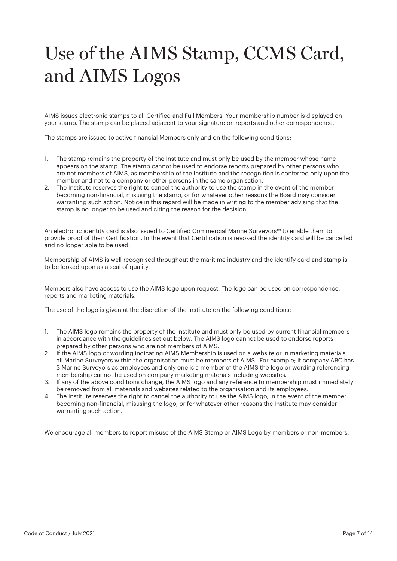## Use of the AIMS Stamp, CCMS Card, and AIMS Logos

AIMS issues electronic stamps to all Certified and Full Members. Your membership number is displayed on your stamp. The stamp can be placed adjacent to your signature on reports and other correspondence.

The stamps are issued to active financial Members only and on the following conditions:

- 1. The stamp remains the property of the Institute and must only be used by the member whose name appears on the stamp. The stamp cannot be used to endorse reports prepared by other persons who are not members of AIMS, as membership of the Institute and the recognition is conferred only upon the member and not to a company or other persons in the same organisation.
- 2. The Institute reserves the right to cancel the authority to use the stamp in the event of the member becoming non-financial, misusing the stamp, or for whatever other reasons the Board may consider warranting such action. Notice in this regard will be made in writing to the member advising that the stamp is no longer to be used and citing the reason for the decision.

An electronic identity card is also issued to Certified Commercial Marine Surveyors™ to enable them to provide proof of their Certification. In the event that Certification is revoked the identity card will be cancelled and no longer able to be used.

Membership of AIMS is well recognised throughout the maritime industry and the identify card and stamp is to be looked upon as a seal of quality.

Members also have access to use the AIMS logo upon request. The logo can be used on correspondence, reports and marketing materials.

The use of the logo is given at the discretion of the Institute on the following conditions:

- 1. The AIMS logo remains the property of the Institute and must only be used by current financial members in accordance with the guidelines set out below. The AIMS logo cannot be used to endorse reports prepared by other persons who are not members of AIMS.
- 2. If the AIMS logo or wording indicating AIMS Membership is used on a website or in marketing materials, all Marine Surveyors within the organisation must be members of AIMS. For example; if company ABC has 3 Marine Surveyors as employees and only one is a member of the AIMS the logo or wording referencing membership cannot be used on company marketing materials including websites.
- 3. If any of the above conditions change, the AIMS logo and any reference to membership must immediately be removed from all materials and websites related to the organisation and its employees.
- 4. The Institute reserves the right to cancel the authority to use the AIMS logo, in the event of the member becoming non-financial, misusing the logo, or for whatever other reasons the Institute may consider warranting such action.

We encourage all members to report misuse of the AIMS Stamp or AIMS Logo by members or non-members.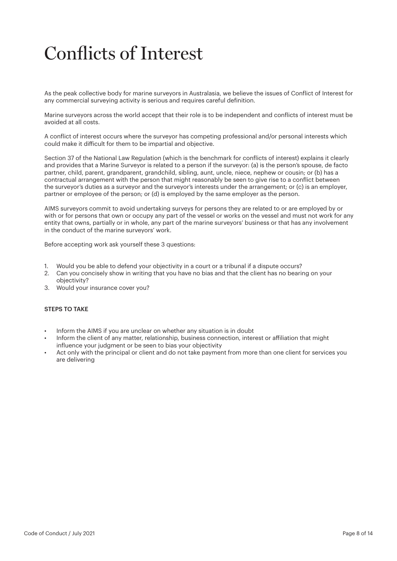## Conflicts of Interest

As the peak collective body for marine surveyors in Australasia, we believe the issues of Conflict of Interest for any commercial surveying activity is serious and requires careful definition.

Marine surveyors across the world accept that their role is to be independent and conflicts of interest must be avoided at all costs.

A conflict of interest occurs where the surveyor has competing professional and/or personal interests which could make it difficult for them to be impartial and objective.

Section 37 of the National Law Regulation (which is the benchmark for conflicts of interest) explains it clearly and provides that a Marine Surveyor is related to a person if the surveyor: (a) is the person's spouse, de facto partner, child, parent, grandparent, grandchild, sibling, aunt, uncle, niece, nephew or cousin; or (b) has a contractual arrangement with the person that might reasonably be seen to give rise to a conflict between the surveyor's duties as a surveyor and the surveyor's interests under the arrangement; or (c) is an employer, partner or employee of the person; or (d) is employed by the same employer as the person.

AIMS surveyors commit to avoid undertaking surveys for persons they are related to or are employed by or with or for persons that own or occupy any part of the vessel or works on the vessel and must not work for any entity that owns, partially or in whole, any part of the marine surveyors' business or that has any involvement in the conduct of the marine surveyors' work.

Before accepting work ask yourself these 3 questions:

- 1. Would you be able to defend your objectivity in a court or a tribunal if a dispute occurs?
- 2. Can you concisely show in writing that you have no bias and that the client has no bearing on your objectivity?
- 3. Would your insurance cover you?

### STEPS TO TAKE

- Inform the AIMS if you are unclear on whether any situation is in doubt
- Inform the client of any matter, relationship, business connection, interest or affiliation that might influence your judgment or be seen to bias your objectivity
- Act only with the principal or client and do not take payment from more than one client for services you are delivering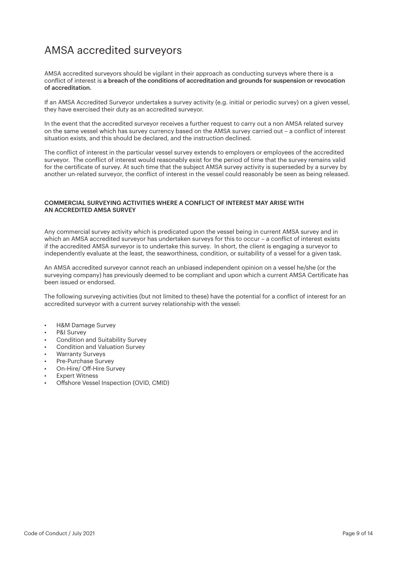### AMSA accredited surveyors

AMSA accredited surveyors should be vigilant in their approach as conducting surveys where there is a conflict of interest is a breach of the conditions of accreditation and grounds for suspension or revocation of accreditation.

If an AMSA Accredited Surveyor undertakes a survey activity (e.g. initial or periodic survey) on a given vessel, they have exercised their duty as an accredited surveyor.

In the event that the accredited surveyor receives a further request to carry out a non AMSA related survey on the same vessel which has survey currency based on the AMSA survey carried out – a conflict of interest situation exists, and this should be declared, and the instruction declined.

The conflict of interest in the particular vessel survey extends to employers or employees of the accredited surveyor. The conflict of interest would reasonably exist for the period of time that the survey remains valid for the certificate of survey. At such time that the subject AMSA survey activity is superseded by a survey by another un-related surveyor, the conflict of interest in the vessel could reasonably be seen as being released.

#### COMMERCIAL SURVEYING ACTIVITIES WHERE A CONFLICT OF INTEREST MAY ARISE WITH AN ACCREDITED AMSA SURVEY

Any commercial survey activity which is predicated upon the vessel being in current AMSA survey and in which an AMSA accredited surveyor has undertaken surveys for this to occur - a conflict of interest exists if the accredited AMSA surveyor is to undertake this survey. In short, the client is engaging a surveyor to independently evaluate at the least, the seaworthiness, condition, or suitability of a vessel for a given task.

An AMSA accredited surveyor cannot reach an unbiased independent opinion on a vessel he/she (or the surveying company) has previously deemed to be compliant and upon which a current AMSA Certificate has been issued or endorsed.

The following surveying activities (but not limited to these) have the potential for a conflict of interest for an accredited surveyor with a current survey relationship with the vessel:

- **H&M Damage Survey**
- **P&I Survey**
- Condition and Suitability Survey
- Condition and Valuation Survey
- **Warranty Surveys**
- **Pre-Purchase Survey**
- On-Hire/ Off-Hire Survey
- **Expert Witness**
- Offshore Vessel Inspection (OVID, CMID)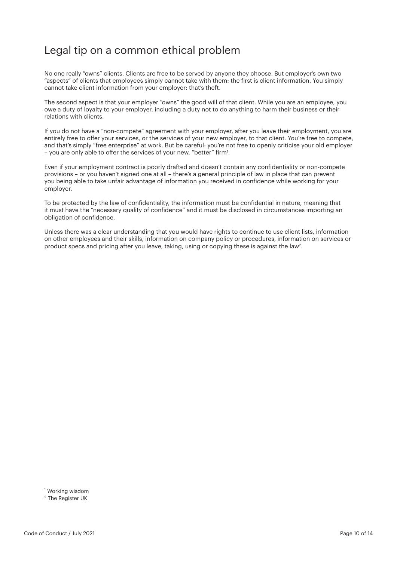### Legal tip on a common ethical problem

No one really "owns" clients. Clients are free to be served by anyone they choose. But employer's own two "aspects" of clients that employees simply cannot take with them: the first is client information. You simply cannot take client information from your employer: that's theft.

The second aspect is that your employer "owns" the good will of that client. While you are an employee, you owe a duty of loyalty to your employer, including a duty not to do anything to harm their business or their relations with clients.

If you do not have a "non-compete" agreement with your employer, after you leave their employment, you are entirely free to offer your services, or the services of your new employer, to that client. You're free to compete, and that's simply "free enterprise" at work. But be careful: you're not free to openly criticise your old employer - you are only able to offer the services of your new, "better" firm<sup>1</sup>.

Even if your employment contract is poorly drafted and doesn't contain any confidentiality or non-compete provisions – or you haven't signed one at all – there's a general principle of law in place that can prevent you being able to take unfair advantage of information you received in confidence while working for your employer.

To be protected by the law of confidentiality, the information must be confidential in nature, meaning that it must have the "necessary quality of confidence" and it must be disclosed in circumstances importing an obligation of confidence.

Unless there was a clear understanding that you would have rights to continue to use client lists, information on other employees and their skills, information on company policy or procedures, information on services or product specs and pricing after you leave, taking, using or copying these is against the law<sup>2</sup>.

<sup>1</sup> Working wisdom

<sup>2</sup> The Register UK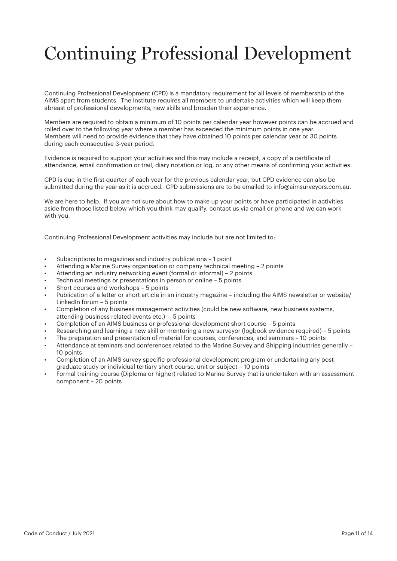## Continuing Professional Development

Continuing Professional Development (CPD) is a mandatory requirement for all levels of membership of the AIMS apart from students. The Institute requires all members to undertake activities which will keep them abreast of professional developments, new skills and broaden their experience.

Members are required to obtain a minimum of 10 points per calendar year however points can be accrued and rolled over to the following year where a member has exceeded the minimum points in one year. Members will need to provide evidence that they have obtained 10 points per calendar year or 30 points during each consecutive 3-year period.

Evidence is required to support your activities and this may include a receipt, a copy of a certificate of attendance, email confirmation or trail, diary notation or log, or any other means of confirming your activities.

CPD is due in the first quarter of each year for the previous calendar year, but CPD evidence can also be submitted during the year as it is accrued. CPD submissions are to be emailed to info@aimsurveyors.com.au.

We are here to help. If you are not sure about how to make up your points or have participated in activities aside from those listed below which you think may qualify, contact us via email or phone and we can work with you.

Continuing Professional Development activities may include but are not limited to:

- Subscriptions to magazines and industry publications 1 point
- Attending a Marine Survey organisation or company technical meeting 2 points
- Attending an industry networking event (formal or informal) 2 points
- Technical meetings or presentations in person or online 5 points
- Short courses and workshops 5 points
- Publication of a letter or short article in an industry magazine including the AIMS newsletter or website/ LinkedIn forum – 5 points
- Completion of any business management activities (could be new software, new business systems, attending business related events etc.) – 5 points
- Completion of an AIMS business or professional development short course 5 points
- Researching and learning a new skill or mentoring a new surveyor (logbook evidence required) 5 points
- The preparation and presentation of material for courses, conferences, and seminars 10 points
- Attendance at seminars and conferences related to the Marine Survey and Shipping industries generally -10 points
- Completion of an AIMS survey specific professional development program or undertaking any postgraduate study or individual tertiary short course, unit or subject – 10 points
- Formal training course (Diploma or higher) related to Marine Survey that is undertaken with an assessment component – 20 points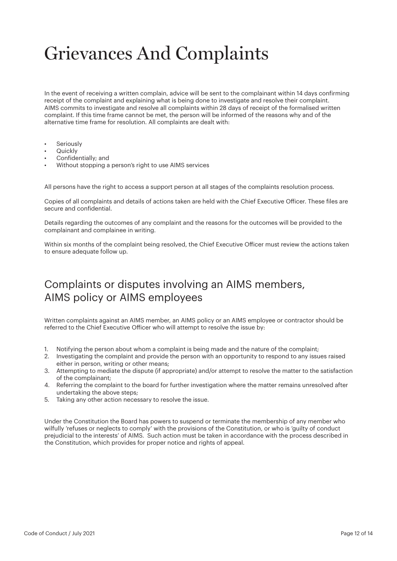## Grievances And Complaints

In the event of receiving a written complain, advice will be sent to the complainant within 14 days confirming receipt of the complaint and explaining what is being done to investigate and resolve their complaint. AIMS commits to investigate and resolve all complaints within 28 days of receipt of the formalised written complaint. If this time frame cannot be met, the person will be informed of the reasons why and of the alternative time frame for resolution. All complaints are dealt with:

- **Seriously**
- **Quickly**
- Confidentially; and
- Without stopping a person's right to use AIMS services

All persons have the right to access a support person at all stages of the complaints resolution process.

Copies of all complaints and details of actions taken are held with the Chief Executive Officer. These files are secure and confidential.

Details regarding the outcomes of any complaint and the reasons for the outcomes will be provided to the complainant and complainee in writing.

Within six months of the complaint being resolved, the Chief Executive Officer must review the actions taken to ensure adequate follow up.

### Complaints or disputes involving an AIMS members, AIMS policy or AIMS employees

Written complaints against an AIMS member, an AIMS policy or an AIMS employee or contractor should be referred to the Chief Executive Officer who will attempt to resolve the issue by:

- 1. Notifying the person about whom a complaint is being made and the nature of the complaint;
- 2. Investigating the complaint and provide the person with an opportunity to respond to any issues raised either in person, writing or other means;
- 3. Attempting to mediate the dispute (if appropriate) and/or attempt to resolve the matter to the satisfaction of the complainant;
- 4. Referring the complaint to the board for further investigation where the matter remains unresolved after undertaking the above steps;
- 5. Taking any other action necessary to resolve the issue.

Under the Constitution the Board has powers to suspend or terminate the membership of any member who wilfully 'refuses or neglects to comply' with the provisions of the Constitution, or who is 'guilty of conduct prejudicial to the interests' of AIMS. Such action must be taken in accordance with the process described in the Constitution, which provides for proper notice and rights of appeal.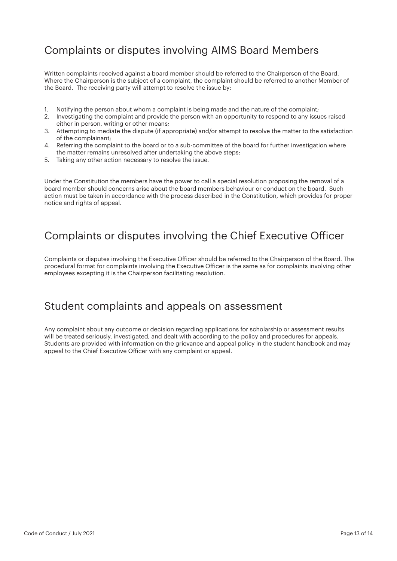## Complaints or disputes involving AIMS Board Members

Written complaints received against a board member should be referred to the Chairperson of the Board. Where the Chairperson is the subject of a complaint, the complaint should be referred to another Member of the Board. The receiving party will attempt to resolve the issue by:

- 1. Notifying the person about whom a complaint is being made and the nature of the complaint;
- 2. Investigating the complaint and provide the person with an opportunity to respond to any issues raised either in person, writing or other means;
- 3. Attempting to mediate the dispute (if appropriate) and/or attempt to resolve the matter to the satisfaction of the complainant;
- 4. Referring the complaint to the board or to a sub-committee of the board for further investigation where the matter remains unresolved after undertaking the above steps;
- 5. Taking any other action necessary to resolve the issue.

Under the Constitution the members have the power to call a special resolution proposing the removal of a board member should concerns arise about the board members behaviour or conduct on the board. Such action must be taken in accordance with the process described in the Constitution, which provides for proper notice and rights of appeal.

### Complaints or disputes involving the Chief Executive Officer

Complaints or disputes involving the Executive Officer should be referred to the Chairperson of the Board. The procedural format for complaints involving the Executive Officer is the same as for complaints involving other employees excepting it is the Chairperson facilitating resolution.

### Student complaints and appeals on assessment

Any complaint about any outcome or decision regarding applications for scholarship or assessment results will be treated seriously, investigated, and dealt with according to the policy and procedures for appeals. Students are provided with information on the grievance and appeal policy in the student handbook and may appeal to the Chief Executive Officer with any complaint or appeal.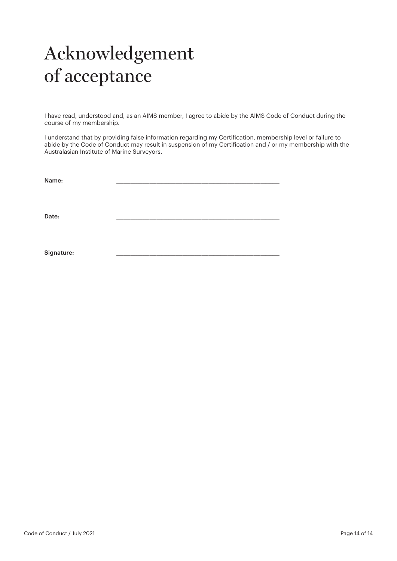## Acknowledgement of acceptance

I have read, understood and, as an AIMS member, I agree to abide by the AIMS Code of Conduct during the course of my membership.

I understand that by providing false information regarding my Certification, membership level or failure to abide by the Code of Conduct may result in suspension of my Certification and / or my membership with the Australasian Institute of Marine Surveyors.

Name: \_\_\_\_\_\_\_\_\_\_\_\_\_\_\_\_\_\_\_\_\_\_\_\_\_\_\_\_\_\_\_\_\_\_\_\_\_\_\_\_\_\_\_\_\_\_\_\_\_\_\_\_\_\_\_\_\_\_\_\_\_\_\_\_\_\_\_\_\_

 $\textsf{Date:}\quad\textcolor{red}{\textbf{0.3}}\quad\textcolor{red}{\textbf{0.4}}\quad\textcolor{red}{\textbf{0.5}}\quad\textcolor{red}{\textbf{0.6}}\quad\textcolor{red}{\textbf{0.6}}\quad\textcolor{red}{\textbf{0.6}}\quad\textcolor{red}{\textbf{0.6}}\quad\textcolor{red}{\textbf{0.6}}\quad\textcolor{red}{\textbf{0.6}}\quad\textcolor{red}{\textbf{0.6}}\quad\textcolor{red}{\textbf{0.6}}\quad\textcolor{red}{\textbf{0.6}}\quad\textcolor{red}{\textbf{0.6}}\quad\textcolor{$ 

Signature: